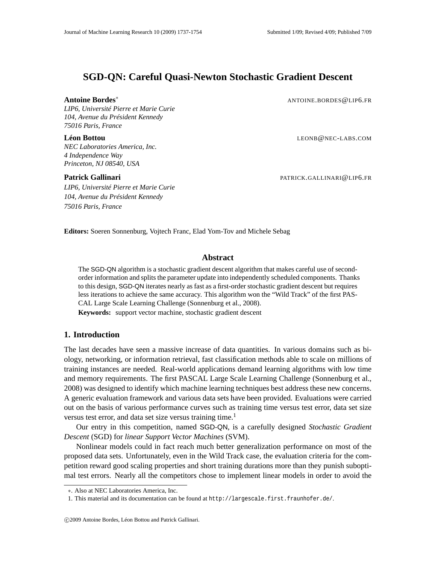# **SGD-QN: Careful Quasi-Newton Stochastic Gradient Descent**

*LIP6, Université Pierre et Marie Curie 104, Avenue du Président Kennedy 75016 Paris, France*

*NEC Laboratories America, Inc. 4 Independence Way Princeton, NJ 08540, USA*

*LIP6, Université Pierre et Marie Curie 104, Avenue du Président Kennedy 75016 Paris, France*

**Antoine Bordes<sup>∗</sup> ANTOINE.BORDES**@LIP6.FR

**Léon Bottou** LEONB@NEC-LABS.COM

**Patrick Gallinari** PATRICK.GALLINARI@LIP6.FR

**Editors:** Soeren Sonnenburg, Vojtech Franc, Elad Yom-Tov and Michele Sebag

# **Abstract**

The SGD-QN algorithm is a stochastic gradient descent algorithm that makes careful use of secondorder information and splits the parameter update into independently scheduled components. Thanks to this design, SGD-QN iterates nearly as fast as a first-order stochastic gradient descent but requires less iterations to achieve the same accuracy. This algorithm won the "Wild Track" of the first PAS-CAL Large Scale Learning Challenge (Sonnenburg et al., 2008).

**Keywords:** support vector machine, stochastic gradient descent

# **1. Introduction**

The last decades have seen a massive increase of data quantities. In various domains such as biology, networking, or information retrieval, fast classification methods able to scale on millions of training instances are needed. Real-world applications demand learning algorithms with low time and memory requirements. The first PASCAL Large Scale Learning Challenge (Sonnenburg et al., 2008) was designed to identify which machine learning techniques best address these new concerns. A generic evaluation framework and various data sets have been provided. Evaluations were carried out on the basis of various performance curves such as training time versus test error, data set size versus test error, and data set size versus training time.<sup>1</sup>

Our entry in this competition, named SGD-QN, is a carefully designed *Stochastic Gradient Descent* (SGD) for *linear Support Vector Machines* (SVM).

Nonlinear models could in fact reach much better generalization performance on most of the proposed data sets. Unfortunately, even in the Wild Track case, the evaluation criteria for the competition reward good scaling properties and short training durations more than they punish suboptimal test errors. Nearly all the competitors chose to implement linear models in order to avoid the

<sup>∗</sup>. Also at NEC Laboratories America, Inc.

<sup>1.</sup> This material and its documentation can be found at http://largescale.first.fraunhofer.de/.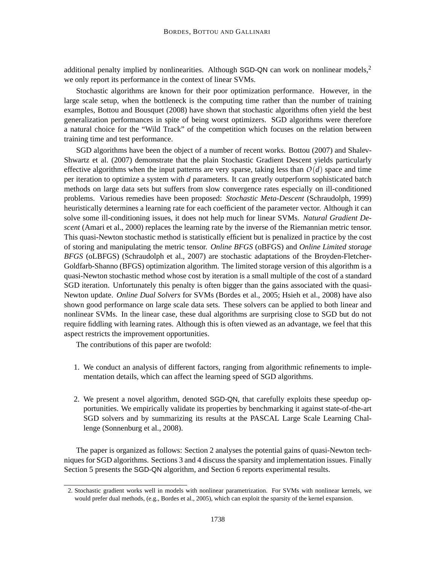additional penalty implied by nonlinearities. Although SGD-QN can work on nonlinear models.<sup>2</sup> we only report its performance in the context of linear SVMs.

Stochastic algorithms are known for their poor optimization performance. However, in the large scale setup, when the bottleneck is the computing time rather than the number of training examples, Bottou and Bousquet (2008) have shown that stochastic algorithms often yield the best generalization performances in spite of being worst optimizers. SGD algorithms were therefore a natural choice for the "Wild Track" of the competition which focuses on the relation between training time and test performance.

SGD algorithms have been the object of a number of recent works. Bottou (2007) and Shalev-Shwartz et al. (2007) demonstrate that the plain Stochastic Gradient Descent yields particularly effective algorithms when the input patterns are very sparse, taking less than  $O(d)$  space and time per iteration to optimize a system with *d* parameters. It can greatly outperform sophisticated batch methods on large data sets but suffers from slow convergence rates especially on ill-conditioned problems. Various remedies have been proposed: *Stochastic Meta-Descent* (Schraudolph, 1999) heuristically determines a learning rate for each coefficient of the parameter vector. Although it can solve some ill-conditioning issues, it does not help much for linear SVMs. *Natural Gradient Descent* (Amari et al., 2000) replaces the learning rate by the inverse of the Riemannian metric tensor. This quasi-Newton stochastic method is statistically efficient but is penalized in practice by the cost of storing and manipulating the metric tensor. *Online BFGS* (oBFGS) and *Online Limited storage BFGS* (oLBFGS) (Schraudolph et al., 2007) are stochastic adaptations of the Broyden-Fletcher-Goldfarb-Shanno (BFGS) optimization algorithm. The limited storage version of this algorithm is a quasi-Newton stochastic method whose cost by iteration is a small multiple of the cost of a standard SGD iteration. Unfortunately this penalty is often bigger than the gains associated with the quasi-Newton update. *Online Dual Solvers* for SVMs (Bordes et al., 2005; Hsieh et al., 2008) have also shown good performance on large scale data sets. These solvers can be applied to both linear and nonlinear SVMs. In the linear case, these dual algorithms are surprising close to SGD but do not require fiddling with learning rates. Although this is often viewed as an advantage, we feel that this aspect restricts the improvement opportunities.

The contributions of this paper are twofold:

- 1. We conduct an analysis of different factors, ranging from algorithmic refinements to implementation details, which can affect the learning speed of SGD algorithms.
- 2. We present a novel algorithm, denoted SGD-QN, that carefully exploits these speedup opportunities. We empirically validate its properties by benchmarking it against state-of-the-art SGD solvers and by summarizing its results at the PASCAL Large Scale Learning Challenge (Sonnenburg et al., 2008).

The paper is organized as follows: Section 2 analyses the potential gains of quasi-Newton techniques for SGD algorithms. Sections 3 and 4 discuss the sparsity and implementation issues. Finally Section 5 presents the SGD-QN algorithm, and Section 6 reports experimental results.

<sup>2.</sup> Stochastic gradient works well in models with nonlinear parametrization. For SVMs with nonlinear kernels, we would prefer dual methods, (e.g., Bordes et al., 2005), which can exploit the sparsity of the kernel expansion.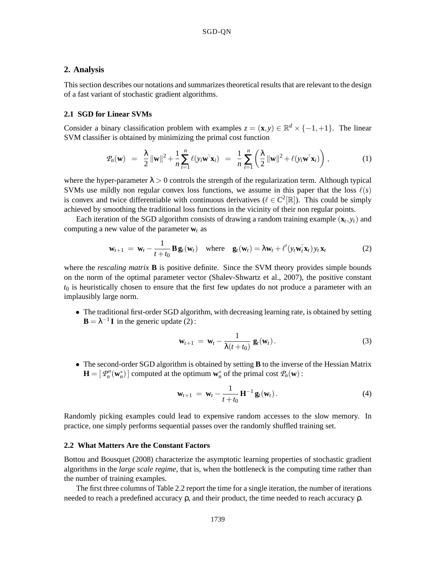# **2. Analysis**

This section describes our notations and summarizes theoretical results that are relevant to the design of a fast variant of stochastic gradient algorithms.

## **2.1 SGD for Linear SVMs**

Consider a binary classification problem with examples  $z = (\mathbf{x}, y) \in \mathbb{R}^d \times \{-1, +1\}$ . The linear SVM classifier is obtained by minimizing the primal cost function

$$
\mathcal{P}_n(\mathbf{w}) = \frac{\lambda}{2} \|\mathbf{w}\|^2 + \frac{1}{n} \sum_{i=1}^n \ell(y_i \mathbf{w}^\top \mathbf{x}_i) = \frac{1}{n} \sum_{i=1}^n \left( \frac{\lambda}{2} \|\mathbf{w}\|^2 + \ell(y_i \mathbf{w}^\top \mathbf{x}_i) \right), \tag{1}
$$

where the hyper-parameter  $\lambda > 0$  controls the strength of the regularization term. Although typical SVMs use mildly non regular convex loss functions, we assume in this paper that the loss  $\ell(s)$ is convex and twice differentiable with continuous derivatives ( $\ell \in C^2[\mathbb{R}]$ ). This could be simply achieved by smoothing the traditional loss functions in the vicinity of their non regular points.

Each iteration of the SGD algorithm consists of drawing a random training example  $(\mathbf{x}_t, y_t)$  and computing a new value of the parameter  $w_t$  as

$$
\mathbf{w}_{t+1} = \mathbf{w}_t - \frac{1}{t+t_0} \mathbf{B} \mathbf{g}_t(\mathbf{w}_t) \quad \text{where} \quad \mathbf{g}_t(\mathbf{w}_t) = \lambda \mathbf{w}_t + \ell' (y_t \mathbf{w}_t^\top \mathbf{x}_t) y_t \mathbf{x}_t \tag{2}
$$

where the *rescaling matrix* **B** is positive definite. Since the SVM theory provides simple bounds on the norm of the optimal parameter vector (Shalev-Shwartz et al., 2007), the positive constant  $t_0$  is heuristically chosen to ensure that the first few updates do not produce a parameter with an implausibly large norm.

• The traditional first-order SGD algorithm, with decreasing learning rate, is obtained by setting  $\mathbf{B} = \lambda^{-1} \mathbf{I}$  in the generic update (2):

$$
\mathbf{w}_{t+1} = \mathbf{w}_t - \frac{1}{\lambda(t+t_0)} \mathbf{g}_t(\mathbf{w}_t).
$$
 (3)

• The second-order SGD algorithm is obtained by setting **B** to the inverse of the Hessian Matrix  $\mathbf{H} = [\mathcal{P}_n''(\mathbf{w}_n^*)]$  computed at the optimum  $\mathbf{w}_n^*$  of the primal cost  $\mathcal{P}_n(\mathbf{w})$ :

$$
\mathbf{w}_{t+1} = \mathbf{w}_t - \frac{1}{t+t_0} \mathbf{H}^{-1} \mathbf{g}_t(\mathbf{w}_t).
$$
 (4)

Randomly picking examples could lead to expensive random accesses to the slow memory. In practice, one simply performs sequential passes over the randomly shuffled training set.

### **2.2 What Matters Are the Constant Factors**

Bottou and Bousquet (2008) characterize the asymptotic learning properties of stochastic gradient algorithms in the *large scale regime*, that is, when the bottleneck is the computing time rather than the number of training examples.

The first three columns of Table 2.2 report the time for a single iteration, the number of iterations needed to reach a predefined accuracy  $ρ$ , and their product, the time needed to reach accuracy  $ρ$ .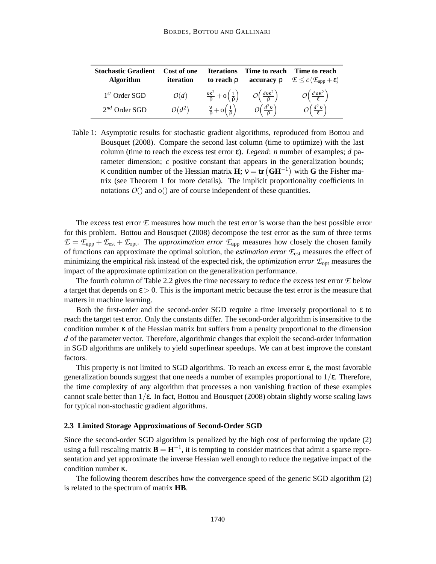| <b>Stochastic Gradient</b> | Cost of one | <b>Iterations</b>                                     | Time to reach                                             | Time to reach                                                              |
|----------------------------|-------------|-------------------------------------------------------|-----------------------------------------------------------|----------------------------------------------------------------------------|
| <b>Algorithm</b>           | iteration   | to reach $\rho$                                       | $accuracy \rho$                                           | $\mathcal{E} \leq c \left( \mathcal{E}_{\text{app}} + \varepsilon \right)$ |
| $1st$ Order SGD            | O(d)        | $\frac{v\kappa^2}{\rho}+o\left(\frac{1}{\rho}\right)$ | $O\left(\frac{d\mathsf{v}\mathsf{\kappa}^2}{\rho}\right)$ | $\left(\frac{d v \kappa^2}{\epsilon}\right)$                               |
| $2^{nd}$ Order SGD         | $O(d^2)$    | $\frac{\nu}{\rho} + o\left(\frac{1}{\rho}\right)$     | $\cup \left( \frac{d^2 \mathsf{v}}{\rho} \right)$         | $rac{d^2v}{\epsilon}$                                                      |

Table 1: Asymptotic results for stochastic gradient algorithms, reproduced from Bottou and Bousquet (2008). Compare the second last column (time to optimize) with the last column (time to reach the excess test error ε). *Legend*: *n* number of examples; *d* parameter dimension; *c* positive constant that appears in the generalization bounds; **K** condition number of the Hessian matrix **H**;  $v = \text{tr}(\text{GH}^{-1})$  with G the Fisher matrix (see Theorem 1 for more details). The implicit proportionality coefficients in notations  $O($ ) and  $o($ ) are of course independent of these quantities.

The excess test error *E* measures how much the test error is worse than the best possible error for this problem. Bottou and Bousquet (2008) decompose the test error as the sum of three terms  $\mathcal{E} = \mathcal{E}_{app} + \mathcal{E}_{est} + \mathcal{E}_{opt}$ . The *approximation error*  $\mathcal{E}_{app}$  measures how closely the chosen family of functions can approximate the optimal solution, the *estimation error E*est measures the effect of minimizing the empirical risk instead of the expected risk, the *optimization error E*opt measures the impact of the approximate optimization on the generalization performance.

The fourth column of Table 2.2 gives the time necessary to reduce the excess test error *E* below a target that depends on  $\epsilon > 0$ . This is the important metric because the test error is the measure that matters in machine learning.

Both the first-order and the second-order SGD require a time inversely proportional to  $\varepsilon$  to reach the target test error. Only the constants differ. The second-order algorithm is insensitive to the condition number κ of the Hessian matrix but suffers from a penalty proportional to the dimension *d* of the parameter vector. Therefore, algorithmic changes that exploit the second-order information in SGD algorithms are unlikely to yield superlinear speedups. We can at best improve the constant factors.

This property is not limited to SGD algorithms. To reach an excess error  $\varepsilon$ , the most favorable generalization bounds suggest that one needs a number of examples proportional to  $1/\epsilon$ . Therefore, the time complexity of any algorithm that processes a non vanishing fraction of these examples cannot scale better than  $1/\epsilon$ . In fact, Bottou and Bousquet (2008) obtain slightly worse scaling laws for typical non-stochastic gradient algorithms.

#### **2.3 Limited Storage Approximations of Second-Order SGD**

Since the second-order SGD algorithm is penalized by the high cost of performing the update (2) using a full rescaling matrix  $\mathbf{B} = \mathbf{H}^{-1}$ , it is tempting to consider matrices that admit a sparse representation and yet approximate the inverse Hessian well enough to reduce the negative impact of the condition number κ.

The following theorem describes how the convergence speed of the generic SGD algorithm (2) is related to the spectrum of matrix **HB**.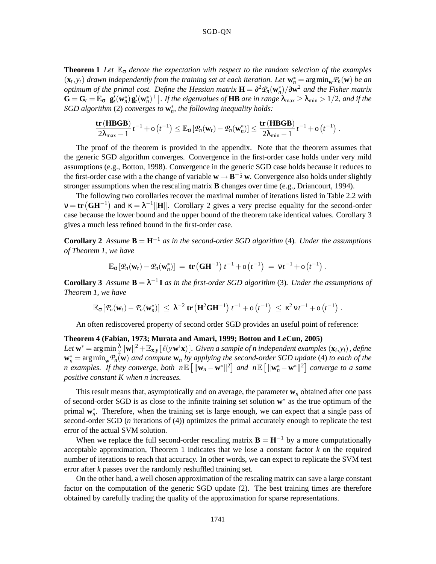### SGD-QN

**Theorem 1** *Let*  $\mathbb{E}_{\sigma}$  *denote the expectation with respect to the random selection of the examples*  $(\mathbf{x}_t, y_t)$  *drawn independently from the training set at each iteration. Let*  $\mathbf{w}_n^* = \arg\min_{\mathbf{w}} P_n(\mathbf{w})$  *be an optimum of the primal cost. Define the Hessian matrix*  $\mathbf{H} = \partial^2 \mathcal{P}_n(\mathbf{w}_n^*) / \partial \mathbf{w}^2$  *and the Fisher matrix*  $\mathbf{G} = \mathbf{G}_t = \mathbb{E}_{\mathbf{G}}\left[\mathbf{g}_t'(\mathbf{w}_n^*)\mathbf{g}_t'(\mathbf{w}_n^*)^\top\right]$ . If the eigenvalues of  $\mathbf{H}\mathbf{B}$  are in range  $\lambda_{\max} \geq \lambda_{\min} > 1/2$ , and if the *SGD algorithm* (2) *converges to* **w** ∗ *n , the following inequality holds:*

$$
\frac{\mathop{\bf tr}\nolimits\left({\bf H BGB}\right)}{2\lambda_{\max}-1}t^{-1}+o\left(t^{-1}\right)\leq \mathbb{E}_{\sigma}\left[\mathcal{P}_n(\mathbf{w}_t)-\mathcal{P}_n(\mathbf{w}_n^*)\right]\leq \frac{\mathop{\bf tr}\nolimits\left({\bf H BGB}\right)}{2\lambda_{\min}-1}t^{-1}+o\left(t^{-1}\right)\,.
$$

The proof of the theorem is provided in the appendix. Note that the theorem assumes that the generic SGD algorithm converges. Convergence in the first-order case holds under very mild assumptions (e.g., Bottou, 1998). Convergence in the generic SGD case holds because it reduces to the first-order case with a the change of variable  $\mathbf{w} \to \mathbf{B}^{-\frac{1}{2}}\mathbf{w}$ . Convergence also holds under slightly stronger assumptions when the rescaling matrix **B** changes over time (e.g., Driancourt, 1994).

The following two corollaries recover the maximal number of iterations listed in Table 2.2 with  $v = \text{tr}(\text{GH}^{-1})$  and  $\kappa = \lambda^{-1} ||\textbf{H}||$ . Corollary 2 gives a very precise equality for the second-order case because the lower bound and the upper bound of the theorem take identical values. Corollary 3 gives a much less refined bound in the first-order case.

**Corollary 2** Assume  $\mathbf{B} = \mathbf{H}^{-1}$  *as in the second-order SGD algorithm* (4)*. Under the assumptions of Theorem 1, we have*

$$
\mathbb{E}_{\sigma} [ \varPhi_n(\mathbf{w}_t) - \varPhi_n(\mathbf{w}_n^*) ] = \mathbf{tr} (\mathbf{G} \mathbf{H}^{-1}) t^{-1} + o(t^{-1}) = v t^{-1} + o(t^{-1}).
$$

**Corollary 3** Assume  $\mathbf{B} = \lambda^{-1} \mathbf{I}$  as in the first-order SGD algorithm (3). Under the assumptions of *Theorem 1, we have*

$$
\mathbb{E}_{\sigma} [ \varPhi_n(\mathbf{w}_t) - \varPhi_n(\mathbf{w}_n^*) ] \ \leq \ \lambda^{-2} \ \text{tr} \left( \mathbf{H}^2 \mathbf{G} \mathbf{H}^{-1} \right) \ t^{-1} + o \left( t^{-1} \right) \ \leq \ \kappa^2 \nu t^{-1} + o \left( t^{-1} \right) \, .
$$

An often rediscovered property of second order SGD provides an useful point of reference:

## **Theorem 4 (Fabian, 1973; Murata and Amari, 1999; Bottou and LeCun, 2005)**

Let  $\mathbf{w}^* = \arg \min \frac{\lambda}{2} \|\mathbf{w}\|^2 + \mathbb{E}_{\mathbf{x},y}\left[ \ell(\mathbf{y}\mathbf{w}^{\!\top}\!\mathbf{x}) \right]$ . Given a sample of n independent examples  $(\mathbf{x}_i, y_i)$ , define  $\mathbf{w}_n^* = \arg\min_{\mathbf{w}} \mathcal{P}_n(\mathbf{w})$  *and compute*  $\mathbf{w}_n$  *by applying the second-order SGD update* (4) *to each of the n* examples. If they converge, both  $n \mathbb{E} \left[ \|\mathbf{w}_n - \mathbf{w}^*\|^2 \right]$  and  $n \mathbb{E} \left[ \|\mathbf{w}_n^* - \mathbf{w}^*\|^2 \right]$  converge to a same *positive constant K when n increases.*

This result means that, asymptotically and on average, the parameter  $w_n$  obtained after one pass of second-order SGD is as close to the infinite training set solution **w**<sup>\*</sup> as the true optimum of the primal  $w_n^*$ . Therefore, when the training set is large enough, we can expect that a single pass of second-order SGD (*n* iterations of (4)) optimizes the primal accurately enough to replicate the test error of the actual SVM solution.

When we replace the full second-order rescaling matrix  $\mathbf{B} = \mathbf{H}^{-1}$  by a more computationally acceptable approximation, Theorem 1 indicates that we lose a constant factor *k* on the required number of iterations to reach that accuracy. In other words, we can expect to replicate the SVM test error after *k* passes over the randomly reshuffled training set.

On the other hand, a well chosen approximation of the rescaling matrix can save a large constant factor on the computation of the generic SGD update (2). The best training times are therefore obtained by carefully trading the quality of the approximation for sparse representations.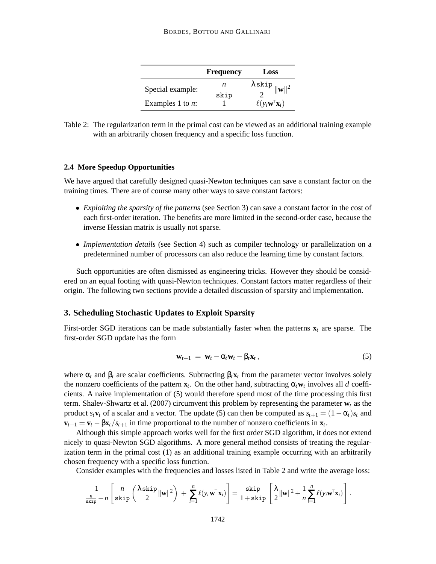|                     | Frequency | Loss                                           |
|---------------------|-----------|------------------------------------------------|
| Special example:    | n<br>skip | $\frac{\lambda \sin p}{2}   \mathbf{w}  ^2$    |
| Examples 1 to $n$ : |           | $\ell(y_i\mathbf{w}^{\mathsf{T}}\mathbf{x}_i)$ |

Table 2: The regularization term in the primal cost can be viewed as an additional training example with an arbitrarily chosen frequency and a specific loss function.

### **2.4 More Speedup Opportunities**

We have argued that carefully designed quasi-Newton techniques can save a constant factor on the training times. There are of course many other ways to save constant factors:

- *Exploiting the sparsity of the patterns* (see Section 3) can save a constant factor in the cost of each first-order iteration. The benefits are more limited in the second-order case, because the inverse Hessian matrix is usually not sparse.
- *Implementation details* (see Section 4) such as compiler technology or parallelization on a predetermined number of processors can also reduce the learning time by constant factors.

Such opportunities are often dismissed as engineering tricks. However they should be considered on an equal footing with quasi-Newton techniques. Constant factors matter regardless of their origin. The following two sections provide a detailed discussion of sparsity and implementation.

# **3. Scheduling Stochastic Updates to Exploit Sparsity**

First-order SGD iterations can be made substantially faster when the patterns  $\mathbf{x}_t$  are sparse. The first-order SGD update has the form

$$
\mathbf{w}_{t+1} = \mathbf{w}_t - \alpha_t \mathbf{w}_t - \beta_t \mathbf{x}_t, \qquad (5)
$$

where  $\alpha_t$  and  $\beta_t$  are scalar coefficients. Subtracting  $\beta_t \mathbf{x}_t$  from the parameter vector involves solely the nonzero coefficients of the pattern  $\mathbf{x}_t$ . On the other hand, subtracting  $\alpha_t \mathbf{w}_t$  involves all *d* coefficients. A naive implementation of (5) would therefore spend most of the time processing this first term. Shalev-Shwartz et al. (2007) circumvent this problem by representing the parameter  $w_t$  as the product  $s_t$ **v**<sub>t</sub> of a scalar and a vector. The update (5) can then be computed as  $s_{t+1} = (1 - \alpha_t)s_t$  and  $\mathbf{v}_{t+1} = \mathbf{v}_t - \beta \mathbf{x}_t / s_{t+1}$  in time proportional to the number of nonzero coefficients in  $\mathbf{x}_t$ .

Although this simple approach works well for the first order SGD algorithm, it does not extend nicely to quasi-Newton SGD algorithms. A more general method consists of treating the regularization term in the primal cost (1) as an additional training example occurring with an arbitrarily chosen frequency with a specific loss function.

Consider examples with the frequencies and losses listed in Table 2 and write the average loss:

$$
\frac{1}{\frac{n}{\text{skip}}+n}\left[\frac{n}{\text{skip}}\left(\frac{\lambda \text{skip}}{2}\|\mathbf{w}\|^2\right)+\sum_{i=1}^n \ell(y_i\mathbf{w}^\top \mathbf{x}_i)\right]=\frac{\text{skip}}{1+\text{skip}}\left[\frac{\lambda}{2}\|\mathbf{w}\|^2+\frac{1}{n}\sum_{i=1}^n \ell(y_i\mathbf{w}^\top \mathbf{x}_i)\right].
$$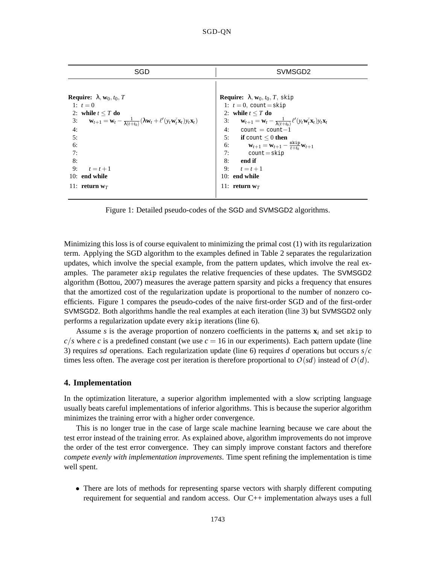| SGD                                                                                                                                                                                                                                                                                                                                                                         | SVMSGD <sub>2</sub>                                                                                                                                                                                                                                                                                                                                                                                                                                                                    |  |  |
|-----------------------------------------------------------------------------------------------------------------------------------------------------------------------------------------------------------------------------------------------------------------------------------------------------------------------------------------------------------------------------|----------------------------------------------------------------------------------------------------------------------------------------------------------------------------------------------------------------------------------------------------------------------------------------------------------------------------------------------------------------------------------------------------------------------------------------------------------------------------------------|--|--|
| <b>Require:</b> $\lambda$ , <b>w</b> <sub>0</sub> , <i>t</i> <sub>0</sub> , <i>T</i><br>1: $t = 0$<br>2: while $t \leq T$ do<br>3: $\mathbf{w}_{t+1} = \mathbf{w}_t - \frac{1}{\lambda(t+t_0)} (\lambda \mathbf{w}_t + \ell'(y_t \mathbf{w}_t^{\top} \mathbf{x}_t) y_t \mathbf{x}_t)$<br>4:<br>5:<br>6:<br>7:<br>8:<br>9:<br>$t=t+1$<br>$10:$ end while<br>11: return $w_T$ | <b>Require:</b> $\lambda$ , $w_0$ , $t_0$ , $T$ , skip<br>1: $t = 0$ , count = skip<br>2: while $t \leq T$ do<br>3: $\mathbf{w}_{t+1} = \mathbf{w}_t - \frac{1}{\lambda(t+t_0)} \ell'(y_t \mathbf{w}_t^{\top} \mathbf{x}_t) y_t \mathbf{x}_t$<br>4: $count = count - 1$<br>5: if count $\leq 0$ then<br>6: $\mathbf{w}_{t+1} = \mathbf{w}_{t+1} - \frac{\text{skip}}{t+t_0} \mathbf{w}_{t+1}$<br>7: $count = skip$<br>8: end if<br>9: $t = t + 1$<br>10: end while<br>11: return $w_T$ |  |  |
|                                                                                                                                                                                                                                                                                                                                                                             |                                                                                                                                                                                                                                                                                                                                                                                                                                                                                        |  |  |

Figure 1: Detailed pseudo-codes of the SGD and SVMSGD2 algorithms.

Minimizing this loss is of course equivalent to minimizing the primal cost (1) with its regularization term. Applying the SGD algorithm to the examples defined in Table 2 separates the regularization updates, which involve the special example, from the pattern updates, which involve the real examples. The parameter skip regulates the relative frequencies of these updates. The SVMSGD2 algorithm (Bottou, 2007) measures the average pattern sparsity and picks a frequency that ensures that the amortized cost of the regularization update is proportional to the number of nonzero coefficients. Figure 1 compares the pseudo-codes of the naive first-order SGD and of the first-order SVMSGD2. Both algorithms handle the real examples at each iteration (line 3) but SVMSGD2 only performs a regularization update every skip iterations (line 6).

Assume *s* is the average proportion of nonzero coefficients in the patterns  $\mathbf{x}_i$  and set skip to  $c/s$  where *c* is a predefined constant (we use  $c = 16$  in our experiments). Each pattern update (line 3) requires *sd* operations. Each regularization update (line 6) requires *d* operations but occurs *s*/*c* times less often. The average cost per iteration is therefore proportional to  $O(sd)$  instead of  $O(d)$ .

### **4. Implementation**

In the optimization literature, a superior algorithm implemented with a slow scripting language usually beats careful implementations of inferior algorithms. This is because the superior algorithm minimizes the training error with a higher order convergence.

This is no longer true in the case of large scale machine learning because we care about the test error instead of the training error. As explained above, algorithm improvements do not improve the order of the test error convergence. They can simply improve constant factors and therefore *compete evenly with implementation improvements*. Time spent refining the implementation is time well spent.

• There are lots of methods for representing sparse vectors with sharply different computing requirement for sequential and random access. Our C++ implementation always uses a full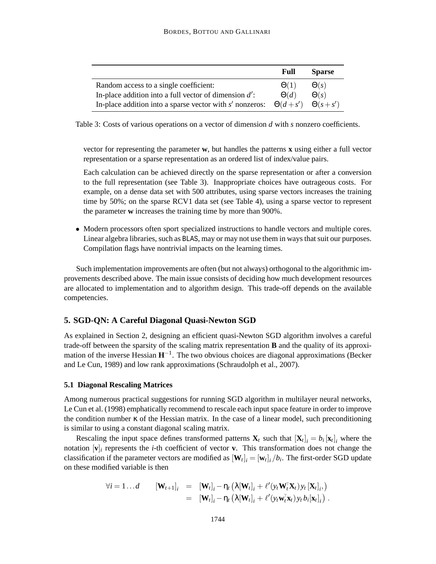|                                                            | Full           | <b>Sparse</b>  |
|------------------------------------------------------------|----------------|----------------|
| Random access to a single coefficient:                     | $\Theta(1)$    | $\Theta(s)$    |
| In-place addition into a full vector of dimension $d'$ :   | $\Theta(d)$    | $\Theta(s)$    |
| In-place addition into a sparse vector with $s'$ nonzeros: | $\Theta(d+s')$ | $\Theta(s+s')$ |

Table 3: Costs of various operations on a vector of dimension *d* with *s* nonzero coefficients.

vector for representing the parameter **w**, but handles the patterns **x** using either a full vector representation or a sparse representation as an ordered list of index/value pairs.

Each calculation can be achieved directly on the sparse representation or after a conversion to the full representation (see Table 3). Inappropriate choices have outrageous costs. For example, on a dense data set with 500 attributes, using sparse vectors increases the training time by 50%; on the sparse RCV1 data set (see Table 4), using a sparse vector to represent the parameter **w** increases the training time by more than 900%.

• Modern processors often sport specialized instructions to handle vectors and multiple cores. Linear algebra libraries, such as BLAS, may or may not use them in ways that suit our purposes. Compilation flags have nontrivial impacts on the learning times.

Such implementation improvements are often (but not always) orthogonal to the algorithmic improvements described above. The main issue consists of deciding how much development resources are allocated to implementation and to algorithm design. This trade-off depends on the available competencies.

## **5. SGD-QN: A Careful Diagonal Quasi-Newton SGD**

As explained in Section 2, designing an efficient quasi-Newton SGD algorithm involves a careful trade-off between the sparsity of the scaling matrix representation **B** and the quality of its approximation of the inverse Hessian **H**−<sup>1</sup> . The two obvious choices are diagonal approximations (Becker and Le Cun, 1989) and low rank approximations (Schraudolph et al., 2007).

#### **5.1 Diagonal Rescaling Matrices**

Among numerous practical suggestions for running SGD algorithm in multilayer neural networks, Le Cun et al. (1998) emphatically recommend to rescale each input space feature in order to improve the condition number  $\kappa$  of the Hessian matrix. In the case of a linear model, such preconditioning is similar to using a constant diagonal scaling matrix.

Rescaling the input space defines transformed patterns  $\mathbf{X}_t$  such that  $[\mathbf{X}_t]_i = b_i [\mathbf{x}_t]_i$  where the notation  $[\mathbf{v}]_i$  represents the *i*-th coefficient of vector **v**. This transformation does not change the classification if the parameter vectors are modified as  $[\mathbf{W}_t]_i = [\mathbf{w}_t]_i / b_i$ . The first-order SGD update on these modified variable is then

$$
\forall i = 1...d \qquad [\mathbf{W}_{t+1}]_i = [\mathbf{W}_t]_i - \eta_t (\lambda[\mathbf{W}_t]_i + \ell'(y_t \mathbf{W}_t^{\mathsf{T}} \mathbf{X}_t) y_t [\mathbf{X}_t]_i, \n= [\mathbf{W}_t]_i - \eta_t (\lambda[\mathbf{W}_t]_i + \ell'(y_t \mathbf{w}_t^{\mathsf{T}} \mathbf{x}_t) y_t b_i [\mathbf{x}_t]_i).
$$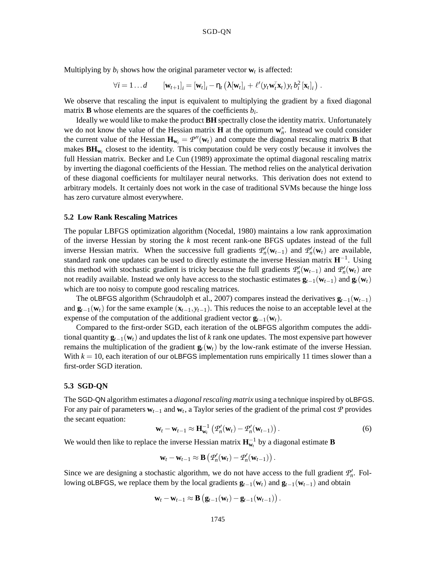Multiplying by  $b_i$  shows how the original parameter vector  $\mathbf{w}_t$  is affected:

$$
\forall i=1...d \qquad [\mathbf{w}_{t+1}]_i = [\mathbf{w}_t]_i - \eta_t \left( \lambda[\mathbf{w}_t]_i + \ell'(\mathbf{y}_t \mathbf{w}_t^{\mathsf{T}} \mathbf{x}_t) \mathbf{y}_t b_i^2 [\mathbf{x}_t]_i \right).
$$

We observe that rescaling the input is equivalent to multiplying the gradient by a fixed diagonal matrix **B** whose elements are the squares of the coefficients  $b_i$ .

Ideally we would like to make the product **BH** spectrally close the identity matrix. Unfortunately we do not know the value of the Hessian matrix **H** at the optimum  $w_n^*$ . Instead we could consider the current value of the Hessian  $\mathbf{H}_{\mathbf{w}_t} = \mathcal{P}''(\mathbf{w}_t)$  and compute the diagonal rescaling matrix **B** that makes  $\mathbf{BH}_{w_t}$  closest to the identity. This computation could be very costly because it involves the full Hessian matrix. Becker and Le Cun (1989) approximate the optimal diagonal rescaling matrix by inverting the diagonal coefficients of the Hessian. The method relies on the analytical derivation of these diagonal coefficients for multilayer neural networks. This derivation does not extend to arbitrary models. It certainly does not work in the case of traditional SVMs because the hinge loss has zero curvature almost everywhere.

### **5.2 Low Rank Rescaling Matrices**

The popular LBFGS optimization algorithm (Nocedal, 1980) maintains a low rank approximation of the inverse Hessian by storing the *k* most recent rank-one BFGS updates instead of the full inverse Hessian matrix. When the successive full gradients  $\mathcal{P}'_n(\mathbf{w}_{t-1})$  and  $\mathcal{P}'_n(\mathbf{w}_t)$  are available, standard rank one updates can be used to directly estimate the inverse Hessian matrix **H**−<sup>1</sup> . Using this method with stochastic gradient is tricky because the full gradients  $P'_n(\mathbf{w}_{t-1})$  and  $P'_n(\mathbf{w}_t)$  are not readily available. Instead we only have access to the stochastic estimates  $\mathbf{g}_{t-1}(\mathbf{w}_{t-1})$  and  $\mathbf{g}_t(\mathbf{w}_t)$ which are too noisy to compute good rescaling matrices.

The oLBFGS algorithm (Schraudolph et al., 2007) compares instead the derivatives  $\mathbf{g}_{t-1}(\mathbf{w}_{t-1})$ and  $\mathbf{g}_{t-1}(\mathbf{w}_t)$  for the same example  $(\mathbf{x}_{t-1}, y_{t-1})$ . This reduces the noise to an acceptable level at the expense of the computation of the additional gradient vector  $\mathbf{g}_{t-1}(\mathbf{w}_t)$ .

Compared to the first-order SGD, each iteration of the oLBFGS algorithm computes the additional quantity **g***t*−1(**w***t*) and updates the list of *k* rank one updates. The most expensive part however remains the multiplication of the gradient  $\mathbf{g}_t(\mathbf{w}_t)$  by the low-rank estimate of the inverse Hessian. With  $k = 10$ , each iteration of our oLBFGS implementation runs empirically 11 times slower than a first-order SGD iteration.

#### **5.3 SGD-QN**

The SGD-QN algorithm estimates a *diagonal rescaling matrix* using a technique inspired by oLBFGS. For any pair of parameters  $w_{t-1}$  and  $w_t$ , a Taylor series of the gradient of the primal cost  $\hat{P}$  provides the secant equation:

$$
\mathbf{w}_t - \mathbf{w}_{t-1} \approx \mathbf{H}_{\mathbf{w}_t}^{-1} \left( \mathcal{P}_n'(\mathbf{w}_t) - \mathcal{P}_n'(\mathbf{w}_{t-1}) \right). \tag{6}
$$

.

We would then like to replace the inverse Hessian matrix  $\mathbf{H}_{w_t}^{-1}$  by a diagonal estimate **B** 

$$
\mathbf{w}_t - \mathbf{w}_{t-1} \approx \mathbf{B} \left( \mathcal{P}'_n(\mathbf{w}_t) - \mathcal{P}'_n(\mathbf{w}_{t-1}) \right).
$$

Since we are designing a stochastic algorithm, we do not have access to the full gradient  $P'_n$ . Following oLBFGS, we replace them by the local gradients  $\mathbf{g}_{t-1}(\mathbf{w}_t)$  and  $\mathbf{g}_{t-1}(\mathbf{w}_{t-1})$  and obtain

$$
\mathbf{w}_t - \mathbf{w}_{t-1} \approx \mathbf{B} \left( \mathbf{g}_{t-1}(\mathbf{w}_t) - \mathbf{g}_{t-1}(\mathbf{w}_{t-1}) \right)
$$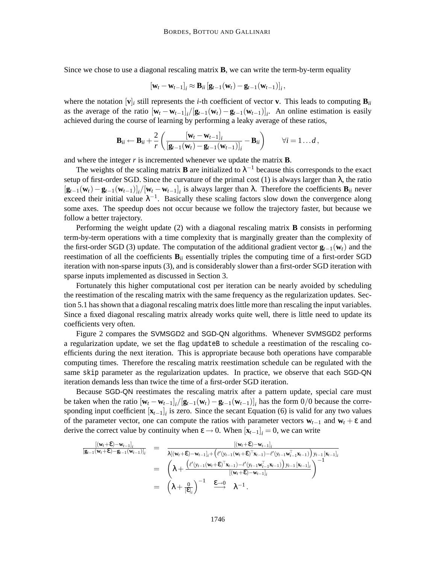Since we chose to use a diagonal rescaling matrix **B**, we can write the term-by-term equality

$$
\left[\mathbf{w}_t - \mathbf{w}_{t-1}\right]_i \approx \mathbf{B}_{ii} \left[\mathbf{g}_{t-1}(\mathbf{w}_t) - \mathbf{g}_{t-1}(\mathbf{w}_{t-1})\right]_i,
$$

where the notation  $[\mathbf{v}]_i$  still represents the *i*-th coefficient of vector **v**. This leads to computing  $\mathbf{B}_{ii}$ as the average of the ratio  $[\mathbf{w}_t - \mathbf{w}_{t-1}]_i / [\mathbf{g}_{t-1}(\mathbf{w}_t) - \mathbf{g}_{t-1}(\mathbf{w}_{t-1})]_i$ . An online estimation is easily achieved during the course of learning by performing a leaky average of these ratios,

$$
\mathbf{B}_{ii} \leftarrow \mathbf{B}_{ii} + \frac{2}{r} \left( \frac{[\mathbf{w}_t - \mathbf{w}_{t-1}]_i}{[\mathbf{g}_{t-1}(\mathbf{w}_t) - \mathbf{g}_{t-1}(\mathbf{w}_{t-1})]_i} - \mathbf{B}_{ii} \right) \qquad \forall i = 1...d,
$$

and where the integer *r* is incremented whenever we update the matrix **B**.

The weights of the scaling matrix **B** are initialized to  $\lambda^{-1}$  because this corresponds to the exact setup of first-order SGD. Since the curvature of the primal cost (1) is always larger than  $\lambda$ , the ratio  $[\mathbf{g}_{t-1}(\mathbf{w}_t) - \mathbf{g}_{t-1}(\mathbf{w}_{t-1})]_i/[\mathbf{w}_t - \mathbf{w}_{t-1}]_i$  is always larger than  $\lambda$ . Therefore the coefficients  $\mathbf{B}_{ii}$  never exceed their initial value  $\lambda^{-1}$ . Basically these scaling factors slow down the convergence along some axes. The speedup does not occur because we follow the trajectory faster, but because we follow a better trajectory.

Performing the weight update (2) with a diagonal rescaling matrix **B** consists in performing term-by-term operations with a time complexity that is marginally greater than the complexity of the first-order SGD (3) update. The computation of the additional gradient vector  $\mathbf{g}_{t-1}(\mathbf{w}_t)$  and the reestimation of all the coefficients  $\mathbf{B}_{ii}$  essentially triples the computing time of a first-order SGD iteration with non-sparse inputs (3), and is considerably slower than a first-order SGD iteration with sparse inputs implemented as discussed in Section 3.

Fortunately this higher computational cost per iteration can be nearly avoided by scheduling the reestimation of the rescaling matrix with the same frequency as the regularization updates. Section 5.1 has shown that a diagonal rescaling matrix does little more than rescaling the input variables. Since a fixed diagonal rescaling matrix already works quite well, there is little need to update its coefficients very often.

Figure 2 compares the SVMSGD2 and SGD-QN algorithms. Whenever SVMSGD2 performs a regularization update, we set the flag updateB to schedule a reestimation of the rescaling coefficients during the next iteration. This is appropriate because both operations have comparable computing times. Therefore the rescaling matrix reestimation schedule can be regulated with the same skip parameter as the regularization updates. In practice, we observe that each SGD-QN iteration demands less than twice the time of a first-order SGD iteration.

Because SGD-QN reestimates the rescaling matrix after a pattern update, special care must be taken when the ratio  $[\mathbf{w}_t - \mathbf{w}_{t-1}]_i/[\mathbf{g}_{t-1}(\mathbf{w}_t) - \mathbf{g}_{t-1}(\mathbf{w}_{t-1})]_i$  has the form 0/0 because the corresponding input coefficient  $[\mathbf{x}_{t-1}]$  is zero. Since the secant Equation (6) is valid for any two values of the parameter vector, one can compute the ratios with parameter vectors  $w_{t-1}$  and  $w_t + \varepsilon$  and derive the correct value by continuity when  $\varepsilon \to 0$ . When  $[\mathbf{x}_{t-1}]_i = 0$ , we can write

$$
\frac{\left[(\mathbf{w}_{t}+\mathbf{E})-\mathbf{w}_{t-1}\right]_{i}}{\left[\mathbf{g}_{t-1}(\mathbf{w}_{t}+\mathbf{E})-\mathbf{g}_{t-1}(\mathbf{w}_{t-1})\right]_{i}} = \frac{\left[(\mathbf{w}_{t}+\mathbf{E})-\mathbf{w}_{t-1}\right]_{i}}{\lambda\left[(\mathbf{w}_{t}+\mathbf{E})-\mathbf{w}_{t-1}\right]_{i}+\left(\ell'(y_{t-1}(\mathbf{w}_{t}+\mathbf{E})^{\top}\mathbf{x}_{t-1})-\ell'(y_{t-1}\mathbf{w}_{t-1}^{\top}\mathbf{x}_{t-1})\right)y_{t-1}\left[\mathbf{x}_{t-1}\right]_{i}}\right)}{\left(\lambda+\frac{\left(\ell'(y_{t-1}(\mathbf{w}_{t}+\mathbf{E})^{\top}\mathbf{x}_{t-1})-\ell'(y_{t-1}\mathbf{w}_{t-1}^{\top}\mathbf{x}_{t-1})\right)y_{t-1}\left[\mathbf{x}_{t-1}\right]_{i}}{\left[(\mathbf{w}_{t}+\mathbf{E})-\mathbf{w}_{t-1}\right]_{i}}\right)^{-1}}\right)}
$$
\n
$$
= \left(\lambda+\frac{0}{\left[\mathbf{E}\right]_{i}}\right)^{-1} \xrightarrow{\mathbf{E}\rightarrow0} \lambda^{-1}.
$$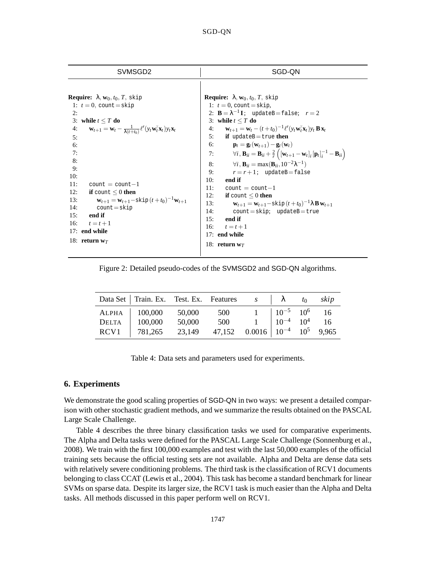| SVMSGD <sub>2</sub>                                                                                                                                                                                                                                                                                                                                                                                                                                                                                                                                         | SGD-QN                                                                                                                                                                                                                                                                                                                                                                                                                                                                                                                                                                                                                                                                                                                                                                                                                                                                                                                                                                                                                                      |
|-------------------------------------------------------------------------------------------------------------------------------------------------------------------------------------------------------------------------------------------------------------------------------------------------------------------------------------------------------------------------------------------------------------------------------------------------------------------------------------------------------------------------------------------------------------|---------------------------------------------------------------------------------------------------------------------------------------------------------------------------------------------------------------------------------------------------------------------------------------------------------------------------------------------------------------------------------------------------------------------------------------------------------------------------------------------------------------------------------------------------------------------------------------------------------------------------------------------------------------------------------------------------------------------------------------------------------------------------------------------------------------------------------------------------------------------------------------------------------------------------------------------------------------------------------------------------------------------------------------------|
| <b>Require:</b> $\lambda$ , $w_0$ , $t_0$ , $T$ , skip<br>1: $t = 0$ , count = skip<br>2:<br>3: while $t \leq T$ do<br>$\mathbf{w}_{t+1} = \mathbf{w}_t - \frac{1}{\lambda(t+t_0)} \ell'(y_t \mathbf{w}_t^{\mathsf{T}} \mathbf{x}_t) y_t \mathbf{x}_t$<br>4:<br>5:<br>6:<br>7:<br>8:<br>9:<br>10:<br>11:<br>$count = count - 1$<br>12:<br>if count $\leq 0$ then<br>$\mathbf{w}_{t+1} = \mathbf{w}_{t+1} - \text{skip}(t+t_0)^{-1}\mathbf{w}_{t+1}$<br>13:<br>14:<br>$count = skip$<br>15:<br>end if<br>16:<br>$t=t+1$<br>17: end while<br>18: return $w_T$ | <b>Require:</b> $\lambda$ , $w_0$ , $t_0$ , $T$ , skip<br>1: $t = 0$ , count = skip,<br>2: $\mathbf{B} = \lambda^{-1} \mathbf{I}$ ; update B = false; $r = 2$<br>3: while $t \leq T$ do<br>4: $\mathbf{w}_{t+1} = \mathbf{w}_t - (t + t_0)^{-1} \ell'(y_t \mathbf{w}_t^T \mathbf{x}_t) y_t \mathbf{B} \mathbf{x}_t$<br>5: if updateB = true then<br>6: $\mathbf{p}_t = \mathbf{g}_t(\mathbf{w}_{t+1}) - \mathbf{g}_t(\mathbf{w}_t)$<br>7: $\forall i, \mathbf{B}_{ii} = \mathbf{B}_{ii} + \frac{2}{r} \left( [\mathbf{w}_{t+1} - \mathbf{w}_t]_i [\mathbf{p}_t]_i^{-1} - \mathbf{B}_{ii} \right)$<br>$\forall i$ , $\mathbf{B}_{ii} = \max(\mathbf{B}_{ii}, 10^{-2}\lambda^{-1})$<br>8:<br>9:<br>$r = r + 1$ ; updateB=false<br>10:<br>end if<br>11:<br>$count = count - 1$<br>12:<br>if count $\leq 0$ then<br>$\mathbf{w}_{t+1} = \mathbf{w}_{t+1} - \text{skip}(t+t_0)^{-1} \lambda \mathbf{B} \mathbf{w}_{t+1}$<br>13:<br>14:<br>$count = skip; updateB = true$<br>end if<br>15:<br>16:<br>$t=t+1$<br>17: end while<br>18: return $w_T$ |
|                                                                                                                                                                                                                                                                                                                                                                                                                                                                                                                                                             |                                                                                                                                                                                                                                                                                                                                                                                                                                                                                                                                                                                                                                                                                                                                                                                                                                                                                                                                                                                                                                             |

Figure 2: Detailed pseudo-codes of the SVMSGD2 and SGD-QN algorithms.

|              | Data Set   Train. Ex. Test. Ex. Features $s$   $\lambda$ $t_0$ $skip$ |        |                                                                                                                                  |  |  |
|--------------|-----------------------------------------------------------------------|--------|----------------------------------------------------------------------------------------------------------------------------------|--|--|
|              | ALPHA   100,000                                                       | 50,000 | 500 1 $10^{-5}$ 10 <sup>6</sup> 16<br>500 1 $10^{-4}$ 10 <sup>4</sup> 16<br>47,152 0.0016 10 <sup>-4</sup> 10 <sup>5</sup> 9,965 |  |  |
| <b>DELTA</b> | 100,000                                                               | 50,000 |                                                                                                                                  |  |  |
|              | RCV1 781,265                                                          | 23,149 |                                                                                                                                  |  |  |

Table 4: Data sets and parameters used for experiments.

# **6. Experiments**

We demonstrate the good scaling properties of SGD-QN in two ways: we present a detailed comparison with other stochastic gradient methods, and we summarize the results obtained on the PASCAL Large Scale Challenge.

Table 4 describes the three binary classification tasks we used for comparative experiments. The Alpha and Delta tasks were defined for the PASCAL Large Scale Challenge (Sonnenburg et al., 2008). We train with the first 100,000 examples and test with the last 50,000 examples of the official training sets because the official testing sets are not available. Alpha and Delta are dense data sets with relatively severe conditioning problems. The third task is the classification of RCV1 documents belonging to class CCAT (Lewis et al., 2004). This task has become a standard benchmark for linear SVMs on sparse data. Despite its larger size, the RCV1 task is much easier than the Alpha and Delta tasks. All methods discussed in this paper perform well on RCV1.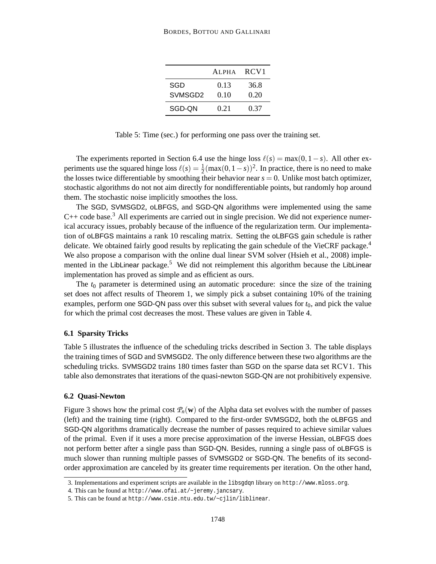|                     | AI.PHA | RCV <sub>1</sub> |
|---------------------|--------|------------------|
| SGD                 | 0.13   | 36.8             |
| SVMSGD <sub>2</sub> | 0.10   | 0.20             |
| SGD-ON              | 0.21   | 0.37             |

Table 5: Time (sec.) for performing one pass over the training set.

The experiments reported in Section 6.4 use the hinge loss  $\ell(s) = \max(0, 1-s)$ . All other experiments use the squared hinge loss  $\ell(s) = \frac{1}{2}(\max(0, 1-s))^2$ . In practice, there is no need to make the losses twice differentiable by smoothing their behavior near  $s = 0$ . Unlike most batch optimizer, stochastic algorithms do not not aim directly for nondifferentiable points, but randomly hop around them. The stochastic noise implicitly smoothes the loss.

The SGD, SVMSGD2, oLBFGS, and SGD-QN algorithms were implemented using the same  $C++$  code base.<sup>3</sup> All experiments are carried out in single precision. We did not experience numerical accuracy issues, probably because of the influence of the regularization term. Our implementation of oLBFGS maintains a rank 10 rescaling matrix. Setting the oLBFGS gain schedule is rather delicate. We obtained fairly good results by replicating the gain schedule of the VieCRF package.<sup>4</sup> We also propose a comparison with the online dual linear SVM solver (Hsieh et al., 2008) implemented in the LibLinear package.<sup>5</sup> We did not reimplement this algorithm because the LibLinear implementation has proved as simple and as efficient as ours.

The  $t_0$  parameter is determined using an automatic procedure: since the size of the training set does not affect results of Theorem 1, we simply pick a subset containing 10% of the training examples, perform one SGD-QN pass over this subset with several values for  $t<sub>0</sub>$ , and pick the value for which the primal cost decreases the most. These values are given in Table 4.

#### **6.1 Sparsity Tricks**

Table 5 illustrates the influence of the scheduling tricks described in Section 3. The table displays the training times of SGD and SVMSGD2. The only difference between these two algorithms are the scheduling tricks. SVMSGD2 trains 180 times faster than SGD on the sparse data set RCV1. This table also demonstrates that iterations of the quasi-newton SGD-QN are not prohibitively expensive.

#### **6.2 Quasi-Newton**

Figure 3 shows how the primal cost  $P_n(\mathbf{w})$  of the Alpha data set evolves with the number of passes (left) and the training time (right). Compared to the first-order SVMSGD2, both the oLBFGS and SGD-QN algorithms dramatically decrease the number of passes required to achieve similar values of the primal. Even if it uses a more precise approximation of the inverse Hessian, oLBFGS does not perform better after a single pass than SGD-QN. Besides, running a single pass of oLBFGS is much slower than running multiple passes of SVMSGD2 or SGD-QN. The benefits of its secondorder approximation are canceled by its greater time requirements per iteration. On the other hand,

<sup>3.</sup> Implementations and experiment scripts are available in the libsgdqn library on http://www.mloss.org.

<sup>4.</sup> This can be found at http://www.ofai.at/~jeremy.jancsary.

<sup>5.</sup> This can be found at http://www.csie.ntu.edu.tw/~cjlin/liblinear.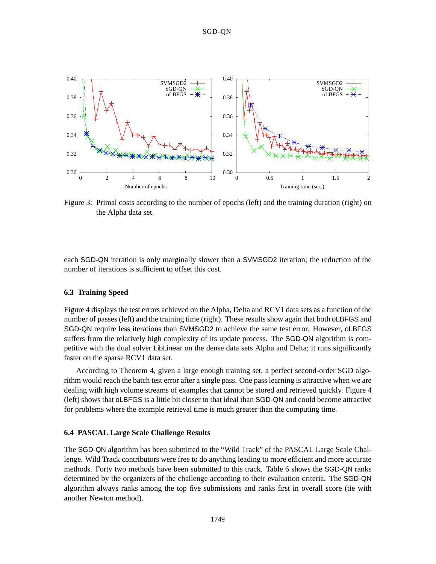

Figure 3: Primal costs according to the number of epochs (left) and the training duration (right) on the Alpha data set.

each SGD-QN iteration is only marginally slower than a SVMSGD2 iteration; the reduction of the number of iterations is sufficient to offset this cost.

## **6.3 Training Speed**

Figure 4 displays the test errors achieved on the Alpha, Delta and RCV1 data sets as a function of the number of passes (left) and the training time (right). These results show again that both oLBFGS and SGD-QN require less iterations than SVMSGD2 to achieve the same test error. However, oLBFGS suffers from the relatively high complexity of its update process. The SGD-QN algorithm is competitive with the dual solver LibLinear on the dense data sets Alpha and Delta; it runs significantly faster on the sparse RCV1 data set.

According to Theorem 4, given a large enough training set, a perfect second-order SGD algorithm would reach the batch test error after a single pass. One pass learning is attractive when we are dealing with high volume streams of examples that cannot be stored and retrieved quickly. Figure 4 (left) shows that oLBFGS is a little bit closer to that ideal than SGD-QN and could become attractive for problems where the example retrieval time is much greater than the computing time.

## **6.4 PASCAL Large Scale Challenge Results**

The SGD-QN algorithm has been submitted to the "Wild Track" of the PASCAL Large Scale Challenge. Wild Track contributors were free to do anything leading to more efficient and more accurate methods. Forty two methods have been submitted to this track. Table 6 shows the SGD-QN ranks determined by the organizers of the challenge according to their evaluation criteria. The SGD-QN algorithm always ranks among the top five submissions and ranks first in overall score (tie with another Newton method).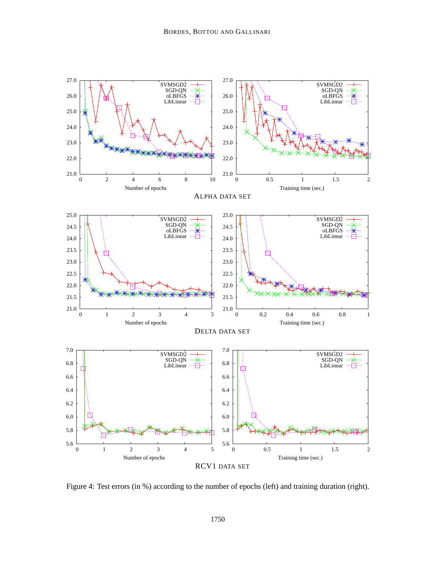

Figure 4: Test errors (in %) according to the number of epochs (left) and training duration (right).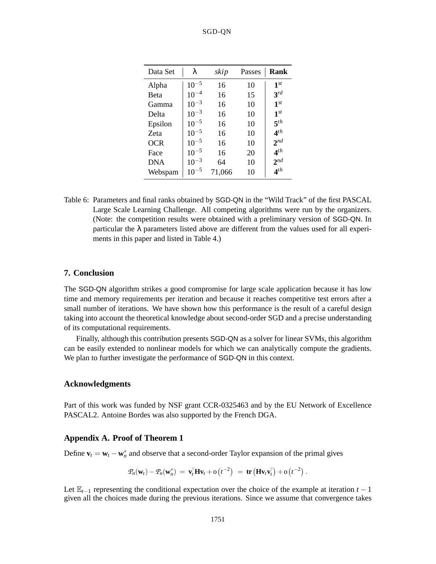## SGD-QN

| Data Set    | λ         | skip   | Passes | Rank              |
|-------------|-----------|--------|--------|-------------------|
| Alpha       | $10^{-5}$ | 16     | 10     | $1^{st}$          |
| <b>Beta</b> | $10^{-4}$ | 16     | 15     | $3^{rd}$          |
| Gamma       | $10^{-3}$ | 16     | 10     | $1^{st}$          |
| Delta       | $10^{-3}$ | 16     | 10     | 1 <sup>st</sup>   |
| Epsilon     | $10^{-5}$ | 16     | 10     | $\mathbf{F}^{th}$ |
| Zeta        | $10^{-5}$ | 16     | 10     | 4 <sup>th</sup>   |
| <b>OCR</b>  | $10^{-5}$ | 16     | 10     | $2^{nd}$          |
| Face        | $10^{-5}$ | 16     | 20     | $\mathbf{A}^{th}$ |
| DNA         | $10^{-3}$ | 64     | 10     | $2^{nd}$          |
| Webspam     | $10^{-5}$ | 71,066 | 10     | $4^{th}$          |

Table 6: Parameters and final ranks obtained by SGD-QN in the "Wild Track" of the first PASCAL Large Scale Learning Challenge. All competing algorithms were run by the organizers. (Note: the competition results were obtained with a preliminary version of SGD-QN. In particular the  $\lambda$  parameters listed above are different from the values used for all experiments in this paper and listed in Table 4.)

## **7. Conclusion**

The SGD-QN algorithm strikes a good compromise for large scale application because it has low time and memory requirements per iteration and because it reaches competitive test errors after a small number of iterations. We have shown how this performance is the result of a careful design taking into account the theoretical knowledge about second-order SGD and a precise understanding of its computational requirements.

Finally, although this contribution presents SGD-QN as a solver for linear SVMs, this algorithm can be easily extended to nonlinear models for which we can analytically compute the gradients. We plan to further investigate the performance of SGD-QN in this context.

# **Acknowledgments**

Part of this work was funded by NSF grant CCR-0325463 and by the EU Network of Excellence PASCAL2. Antoine Bordes was also supported by the French DGA.

## **Appendix A. Proof of Theorem 1**

Define  $\mathbf{v}_t = \mathbf{w}_t - \mathbf{w}_n^*$  and observe that a second-order Taylor expansion of the primal gives

$$
\mathcal{P}_n(\mathbf{w}_t) - \mathcal{P}_n(\mathbf{w}_n^*) = \mathbf{v}_t^{\mathsf{T}} \mathbf{H} \mathbf{v}_t + o\left(t^{-2}\right) = \mathbf{tr} \left(\mathbf{H} \mathbf{v}_t \mathbf{v}_t^{\mathsf{T}}\right) + o\left(t^{-2}\right).
$$

Let  $\mathbb{E}_{t-1}$  representing the conditional expectation over the choice of the example at iteration  $t-1$ given all the choices made during the previous iterations. Since we assume that convergence takes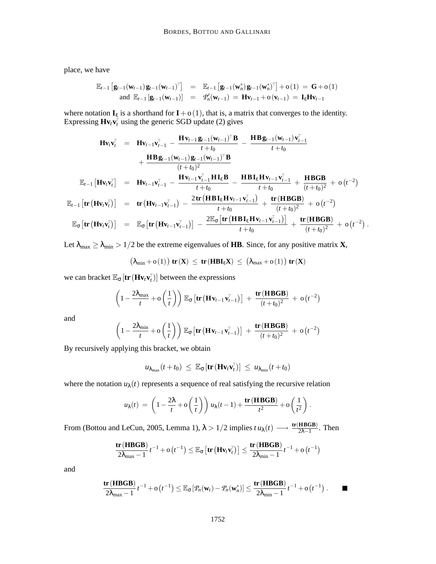place, we have

$$
\mathbb{E}_{t-1} \left[ \mathbf{g}_{t-1}(\mathbf{w}_{t-1}) \mathbf{g}_{t-1}(\mathbf{w}_{t-1})^{\top} \right] = \mathbb{E}_{t-1} \left[ \mathbf{g}_{t-1}(\mathbf{w}_{n}^{*}) \mathbf{g}_{t-1}(\mathbf{w}_{n}^{*})^{\top} \right] + o(1) = \mathbf{G} + o(1)
$$
  
and  $\mathbb{E}_{t-1} \left[ \mathbf{g}_{t-1}(\mathbf{w}_{t-1}) \right] = \mathcal{P}_{n}'(\mathbf{w}_{t-1}) = \mathbf{H} \mathbf{v}_{t-1} + o(\mathbf{v}_{t-1}) = \mathbf{I}_{\mathcal{E}} \mathbf{H} \mathbf{v}_{t-1}$ 

where notation  $I_{\varepsilon}$  is a shorthand for  $I + o(1)$ , that is, a matrix that converges to the identity. Expressing  $\mathbf{H} \mathbf{v}_t \mathbf{v}_t^{\top}$  using the generic SGD update (2) gives

$$
\mathbf{H} \mathbf{v}_{t} \mathbf{v}_{t}^{\top} = \mathbf{H} \mathbf{v}_{t-1} \mathbf{v}_{t-1}^{\top} - \frac{\mathbf{H} \mathbf{v}_{t-1} \mathbf{g}_{t-1} (\mathbf{w}_{t-1})^{\top} \mathbf{B}}{t+t_{0}} - \frac{\mathbf{H} \mathbf{B} \mathbf{g}_{t-1} (\mathbf{w}_{t-1}) \mathbf{v}_{t-1}^{\top}}{t+t_{0}} + \frac{\mathbf{H} \mathbf{B} \mathbf{g}_{t-1} (\mathbf{w}_{t-1}) \mathbf{g}_{t-1} (\mathbf{w}_{t-1})^{\top} \mathbf{B}}{(t+t_{0})^{2}} + \frac{\mathbf{H} \mathbf{B} \mathbf{g}_{t-1} (\mathbf{w}_{t-1}) \mathbf{g}_{t-1} (\mathbf{w}_{t-1})^{\top} \mathbf{B}}{(t+t_{0})^{2}} \mathbf{E}_{t-1} [\mathbf{H} \mathbf{v}_{t} \mathbf{v}_{t}^{\top}] = \mathbf{H} \mathbf{v}_{t-1} \mathbf{v}_{t-1}^{\top} - \frac{\mathbf{H} \mathbf{v}_{t-1} \mathbf{v}_{t-1}^{\top} \mathbf{H} \mathbf{I}_{\epsilon} \mathbf{B}}{t+t_{0}} - \frac{\mathbf{H} \mathbf{B} \mathbf{I}_{\epsilon} \mathbf{H} \mathbf{v}_{t-1} \mathbf{v}_{t-1}^{\top}}{(t+t_{0})^{2}} + \mathbf{O}(t^{-2})
$$
  

$$
\mathbb{E}_{t-1} [\mathbf{tr} (\mathbf{H} \mathbf{v}_{t} \mathbf{v}_{t}^{\top} )] = \mathbf{tr} (\mathbf{H} \mathbf{v}_{t-1} \mathbf{v}_{t-1}^{\top}) - \frac{2 \mathbf{tr} (\mathbf{H} \mathbf{B} \mathbf{I}_{\epsilon} \mathbf{H} \mathbf{v}_{t-1} \mathbf{v}_{t-1}^{\top})}{t+t_{0}} + \frac{\mathbf{tr} (\mathbf{H} \mathbf{B} \mathbf{G} \mathbf{B})}{(t+t_{0})^{2}} + \mathbf{O}(t^{-2})
$$
  

$$
\mathbb{E}_{\sigma} [\mathbf{tr} (\mathbf{H} \math
$$

Let  $\lambda_{\text{max}} \geq \lambda_{\text{min}} > 1/2$  be the extreme eigenvalues of **HB**. Since, for any positive matrix **X**,

$$
\left(\lambda_{min}+o\left(1\right)\right)\text{tr}\left(\textbf{X}\right)\;\leq\; \text{tr}\left(\textbf{HBI}_{\epsilon}\textbf{X}\right)\;\leq\; \left(\lambda_{max}+o\left(1\right)\right)\text{tr}\left(\textbf{X}\right)
$$

we can bracket  $\mathbb{E}_{\sigma}$   $[\textbf{tr}(\textbf{H} \textbf{v}_t \textbf{v}_t^{\top})]$  between the expressions

$$
\left(1-\frac{2\lambda_{\max}}{t}+o\left(\frac{1}{t}\right)\right)\mathbb{E}_{\sigma}\left[\text{tr}\left(\text{H}\,\text{v}_{t-1}\,\text{v}_{t-1}^{\top}\right)\right] + \frac{\text{tr}\left(\text{H}\,\text{B}\text{G}\text{B}\right)}{(t+t_0)^2} + o\left(t^{-2}\right)
$$

and

$$
\left(1-\frac{2\lambda_{\min}}{t}+o\left(\frac{1}{t}\right)\right)\mathbb{E}_{\sigma}\left[\text{tr}\left(\text{H}\,\text{v}_{t-1}\,\text{v}_{t-1}^{\top}\right)\right]\;+\;\frac{\text{tr}\left(\text{H}\,\text{B}\text{G}\text{B}\right)}{(t+t_0)^2}\;+\;o\left(t^{-2}\right)
$$

By recursively applying this bracket, we obtain

$$
u_{\lambda_{\max}}(t+t_0) \ \leq \ \mathbb{E}_{\sigma}[\mathbf{tr}(\mathbf{H}\mathbf{v}_t\mathbf{v}_t^{\top})] \ \leq \ u_{\lambda_{\min}}(t+t_0)
$$

where the notation  $u_{\lambda}(t)$  represents a sequence of real satisfying the recursive relation

$$
u_{\lambda}(t) = \left(1 - \frac{2\lambda}{t} + \mathbf{o}\left(\frac{1}{t}\right)\right)u_{\lambda}(t-1) + \frac{\mathbf{tr}(\mathbf{H}\mathbf{B}\mathbf{G}\mathbf{B})}{t^2} + \mathbf{o}\left(\frac{1}{t^2}\right).
$$

From (Bottou and LeCun, 2005, Lemma 1),  $\lambda > 1/2$  implies  $t u_{\lambda}(t) \longrightarrow \frac{\text{tr(HBGB)}}{2\lambda - 1}$ . Then

$$
\frac{\text{tr}(\text{HBGB})}{2\lambda_{\max}-1}t^{-1}+o\left(t^{-1}\right)\leq \mathbb{E}_{\sigma}\left[\text{tr}\left(\text{Hv}_{t}\text{v}_{t}^{\top}\right)\right]\leq \frac{\text{tr}(\text{HBGB})}{2\lambda_{\min}-1}t^{-1}+o\left(t^{-1}\right)
$$

and

$$
\frac{\mathbf{tr}(\mathbf{H BGB})}{2\lambda_{\max}-1}t^{-1}+o(t^{-1})\leq \mathbb{E}_{\sigma}[\mathcal{P}_n(\mathbf{w}_t)-\mathcal{P}_n(\mathbf{w}_n^*)]\leq \frac{\mathbf{tr}(\mathbf{H BGB})}{2\lambda_{\min}-1}t^{-1}+o(t^{-1}).
$$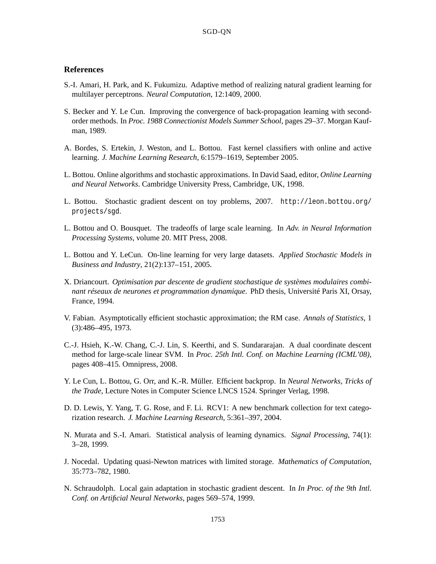# **References**

- S.-I. Amari, H. Park, and K. Fukumizu. Adaptive method of realizing natural gradient learning for multilayer perceptrons. *Neural Computation*, 12:1409, 2000.
- S. Becker and Y. Le Cun. Improving the convergence of back-propagation learning with secondorder methods. In *Proc. 1988 Connectionist Models Summer School*, pages 29–37. Morgan Kaufman, 1989.
- A. Bordes, S. Ertekin, J. Weston, and L. Bottou. Fast kernel classifiers with online and active learning. *J. Machine Learning Research*, 6:1579–1619, September 2005.
- L. Bottou. Online algorithms and stochastic approximations. In David Saad, editor, *Online Learning and Neural Networks*. Cambridge University Press, Cambridge, UK, 1998.
- L. Bottou. Stochastic gradient descent on toy problems, 2007. http://leon.bottou.org/ projects/sgd.
- L. Bottou and O. Bousquet. The tradeoffs of large scale learning. In *Adv. in Neural Information Processing Systems*, volume 20. MIT Press, 2008.
- L. Bottou and Y. LeCun. On-line learning for very large datasets. *Applied Stochastic Models in Business and Industry*, 21(2):137–151, 2005.
- X. Driancourt. *Optimisation par descente de gradient stochastique de systèmes modulaires combinant réseaux de neurones et programmation dynamique*. PhD thesis, Université Paris XI, Orsay, France, 1994.
- V. Fabian. Asymptotically efficient stochastic approximation; the RM case. *Annals of Statistics*, 1 (3):486–495, 1973.
- C.-J. Hsieh, K.-W. Chang, C.-J. Lin, S. Keerthi, and S. Sundararajan. A dual coordinate descent method for large-scale linear SVM. In *Proc. 25th Intl. Conf. on Machine Learning (ICML'08)*, pages 408–415. Omnipress, 2008.
- Y. Le Cun, L. Bottou, G. Orr, and K.-R. Müller. Efficient backprop. In *Neural Networks, Tricks of the Trade*, Lecture Notes in Computer Science LNCS 1524. Springer Verlag, 1998.
- D. D. Lewis, Y. Yang, T. G. Rose, and F. Li. RCV1: A new benchmark collection for text categorization research. *J. Machine Learning Research*, 5:361–397, 2004.
- N. Murata and S.-I. Amari. Statistical analysis of learning dynamics. *Signal Processing*, 74(1): 3–28, 1999.
- J. Nocedal. Updating quasi-Newton matrices with limited storage. *Mathematics of Computation*, 35:773–782, 1980.
- N. Schraudolph. Local gain adaptation in stochastic gradient descent. In *In Proc. of the 9th Intl. Conf. on Artificial Neural Networks*, pages 569–574, 1999.